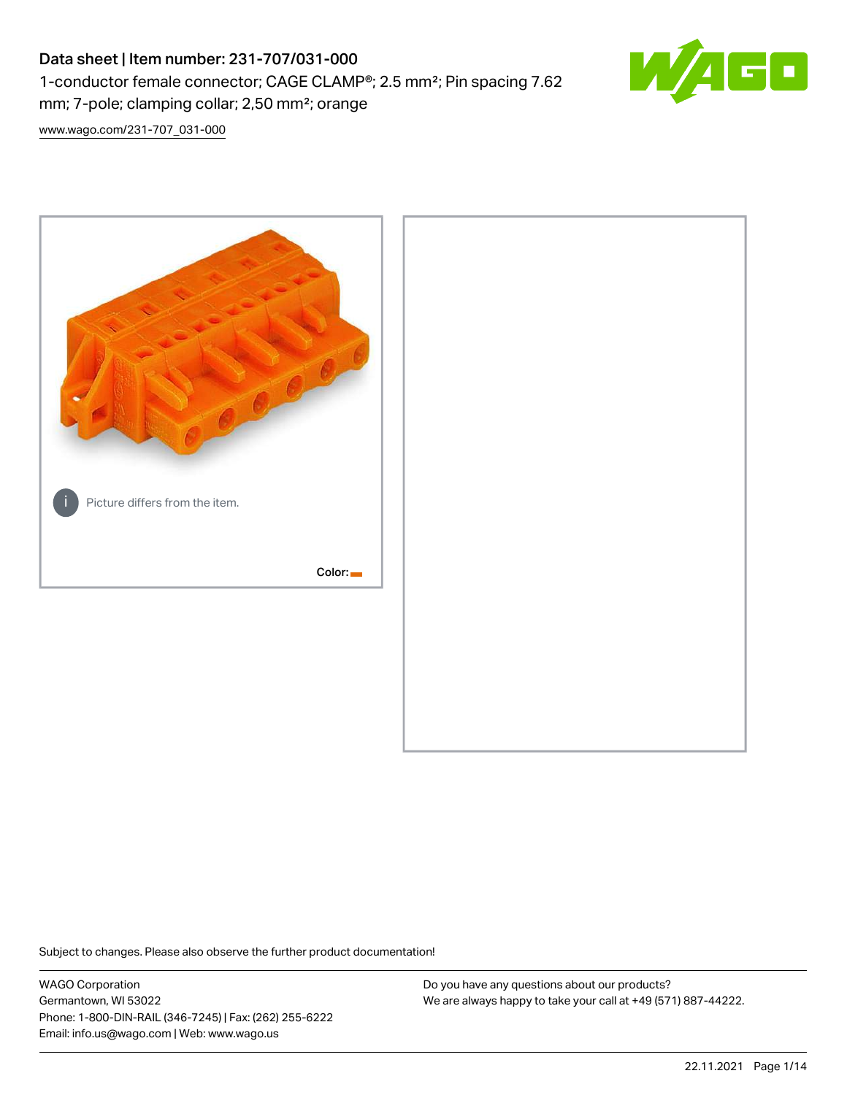# Data sheet | Item number: 231-707/031-000 1-conductor female connector; CAGE CLAMP®; 2.5 mm²; Pin spacing 7.62 mm; 7-pole; clamping collar; 2,50 mm²; orange



[www.wago.com/231-707\\_031-000](http://www.wago.com/231-707_031-000)



Subject to changes. Please also observe the further product documentation!

WAGO Corporation Germantown, WI 53022 Phone: 1-800-DIN-RAIL (346-7245) | Fax: (262) 255-6222 Email: info.us@wago.com | Web: www.wago.us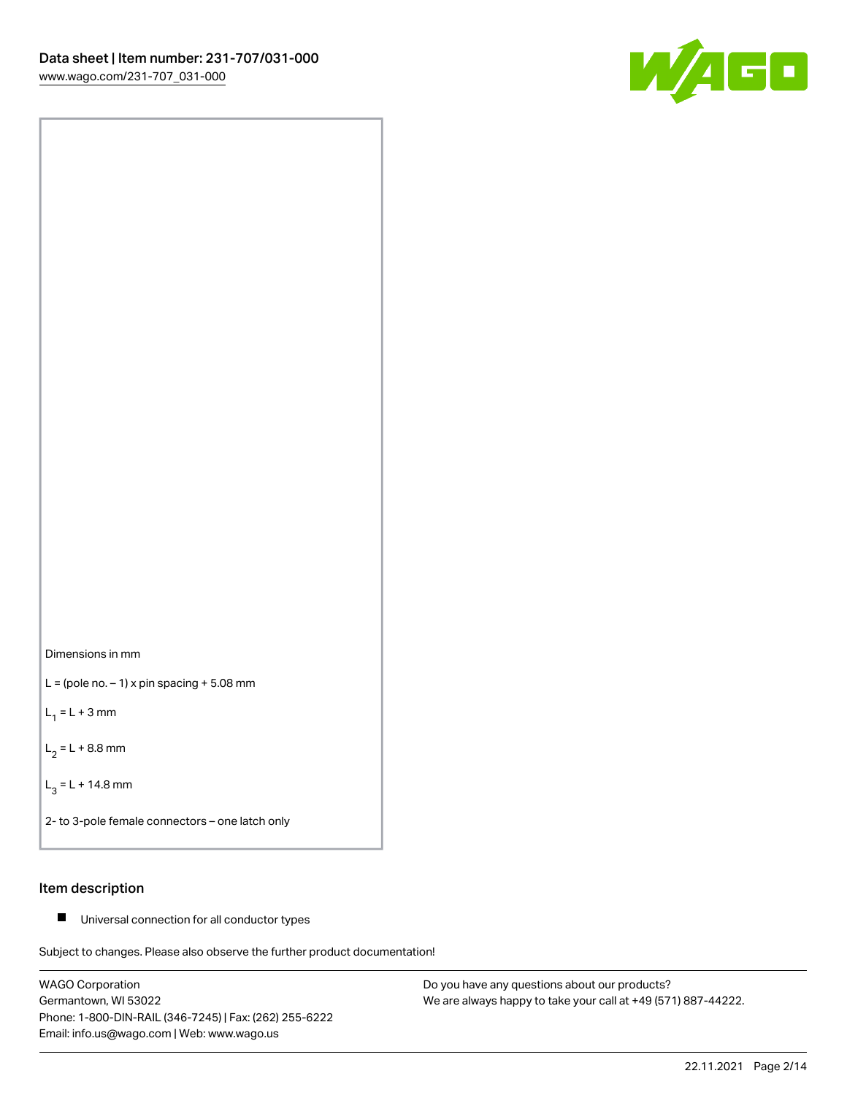



 $L =$  (pole no.  $-1$ ) x pin spacing  $+5.08$  mm

 $L_1 = L + 3$  mm

 $L_2 = L + 8.8$  mm

 $L_3 = L + 14.8$  mm

2- to 3-pole female connectors – one latch only

#### Item description

■ Universal connection for all conductor types

Subject to changes. Please also observe the further product documentation!

WAGO Corporation Germantown, WI 53022 Phone: 1-800-DIN-RAIL (346-7245) | Fax: (262) 255-6222 Email: info.us@wago.com | Web: www.wago.us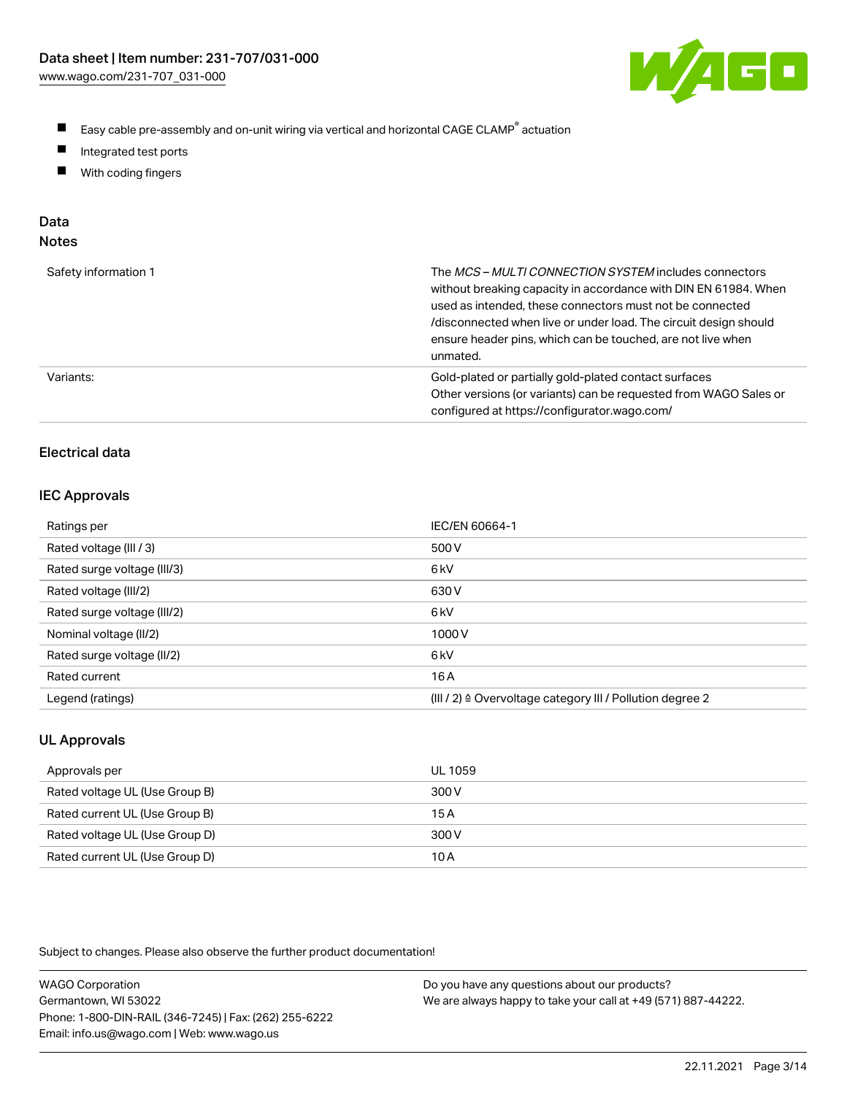

- $\blacksquare$ Easy cable pre-assembly and on-unit wiring via vertical and horizontal CAGE CLAMP<sup>®</sup> actuation
- $\blacksquare$ Integrated test ports
- $\blacksquare$ With coding fingers

#### Data Notes

| ×<br>۰, | ×<br>۹ | ×<br>٠ |
|---------|--------|--------|
|         |        |        |

| Safety information 1 | The <i>MCS – MULTI CONNECTION SYSTEM</i> includes connectors<br>without breaking capacity in accordance with DIN EN 61984. When<br>used as intended, these connectors must not be connected<br>/disconnected when live or under load. The circuit design should<br>ensure header pins, which can be touched, are not live when<br>unmated. |
|----------------------|--------------------------------------------------------------------------------------------------------------------------------------------------------------------------------------------------------------------------------------------------------------------------------------------------------------------------------------------|
| Variants:            | Gold-plated or partially gold-plated contact surfaces<br>Other versions (or variants) can be requested from WAGO Sales or<br>configured at https://configurator.wago.com/                                                                                                                                                                  |

# Electrical data

#### IEC Approvals

| Ratings per                 | IEC/EN 60664-1                                                        |
|-----------------------------|-----------------------------------------------------------------------|
| Rated voltage (III / 3)     | 500 V                                                                 |
| Rated surge voltage (III/3) | 6 <sub>k</sub> V                                                      |
| Rated voltage (III/2)       | 630 V                                                                 |
| Rated surge voltage (III/2) | 6 <sub>k</sub> V                                                      |
| Nominal voltage (II/2)      | 1000V                                                                 |
| Rated surge voltage (II/2)  | 6 <sub>k</sub> V                                                      |
| Rated current               | 16 A                                                                  |
| Legend (ratings)            | $(III / 2)$ $\triangle$ Overvoltage category III / Pollution degree 2 |

### UL Approvals

| Approvals per                  | UL 1059 |
|--------------------------------|---------|
| Rated voltage UL (Use Group B) | 300 V   |
| Rated current UL (Use Group B) | 15A     |
| Rated voltage UL (Use Group D) | 300 V   |
| Rated current UL (Use Group D) | 10 A    |

Subject to changes. Please also observe the further product documentation!

| <b>WAGO Corporation</b>                                | Do you have any questions about our products?                 |
|--------------------------------------------------------|---------------------------------------------------------------|
| Germantown, WI 53022                                   | We are always happy to take your call at +49 (571) 887-44222. |
| Phone: 1-800-DIN-RAIL (346-7245)   Fax: (262) 255-6222 |                                                               |
| Email: info.us@wago.com   Web: www.wago.us             |                                                               |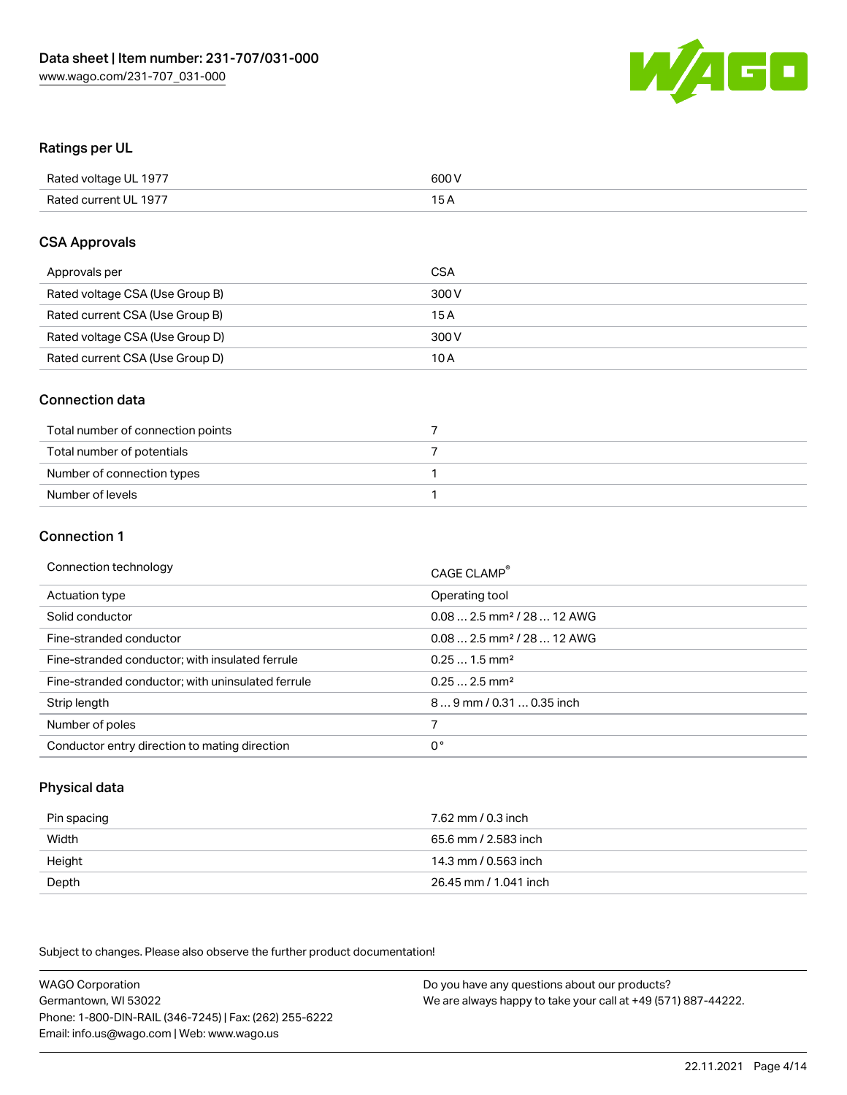

#### Ratings per UL

| Rated voltage UL 1977 | 600 V |
|-----------------------|-------|
| Rated current UL 1977 | 1 E   |

#### CSA Approvals

| Approvals per                   | CSA   |
|---------------------------------|-------|
| Rated voltage CSA (Use Group B) | 300 V |
| Rated current CSA (Use Group B) | 15 A  |
| Rated voltage CSA (Use Group D) | 300 V |
| Rated current CSA (Use Group D) | 10 A  |

#### Connection data

| Total number of connection points |  |
|-----------------------------------|--|
| Total number of potentials        |  |
| Number of connection types        |  |
| Number of levels                  |  |

#### Connection 1

| Connection technology                             | CAGE CLAMP <sup>®</sup>                 |
|---------------------------------------------------|-----------------------------------------|
| Actuation type                                    | Operating tool                          |
| Solid conductor                                   | $0.08$ 2.5 mm <sup>2</sup> / 28  12 AWG |
| Fine-stranded conductor                           | $0.082.5$ mm <sup>2</sup> / 28  12 AWG  |
| Fine-stranded conductor; with insulated ferrule   | $0.251.5$ mm <sup>2</sup>               |
| Fine-stranded conductor; with uninsulated ferrule | $0.252.5$ mm <sup>2</sup>               |
| Strip length                                      | 89 mm / 0.31  0.35 inch                 |
| Number of poles                                   |                                         |
| Conductor entry direction to mating direction     | 0°                                      |

### Physical data

| Pin spacing | 7.62 mm / 0.3 inch    |
|-------------|-----------------------|
| Width       | 65.6 mm / 2.583 inch  |
| Height      | 14.3 mm / 0.563 inch  |
| Depth       | 26.45 mm / 1.041 inch |

Subject to changes. Please also observe the further product documentation!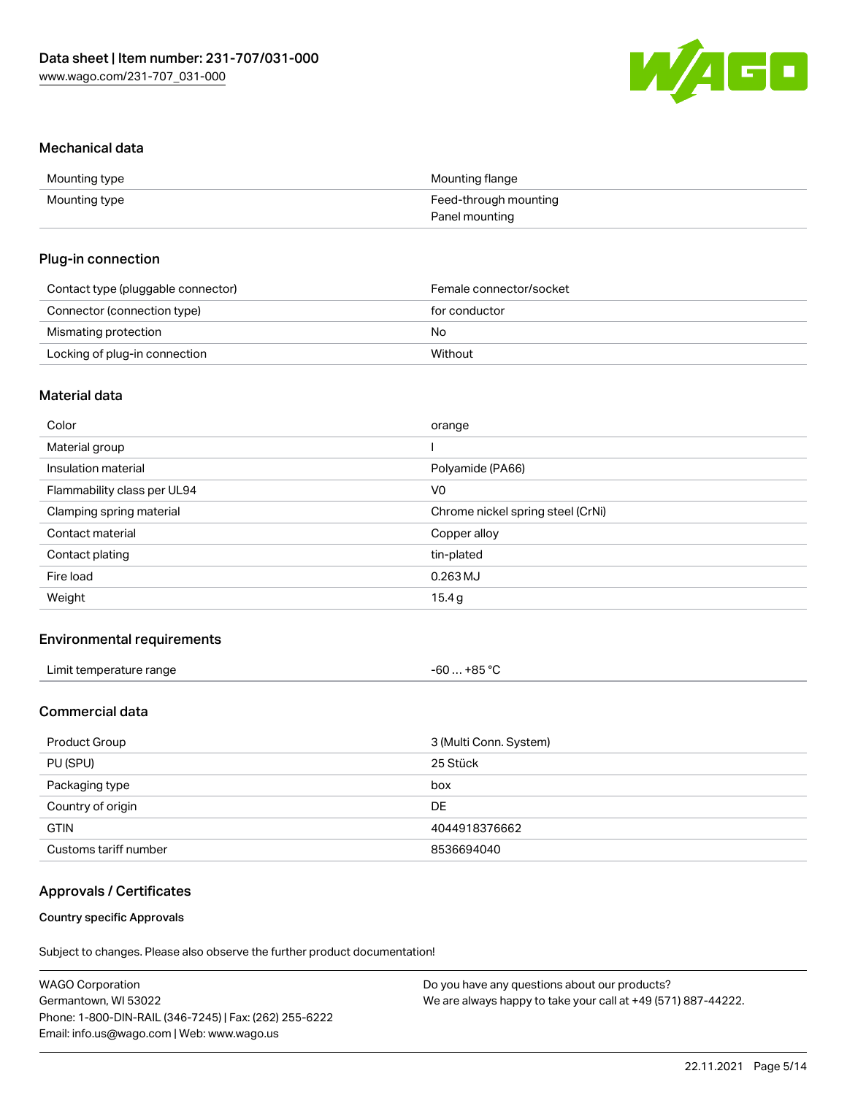

#### Mechanical data

| Mounting type | Mounting flange       |
|---------------|-----------------------|
| Mounting type | Feed-through mounting |
|               | Panel mounting        |

#### Plug-in connection

| Contact type (pluggable connector) | Female connector/socket |
|------------------------------------|-------------------------|
| Connector (connection type)        | for conductor           |
| Mismating protection               | No                      |
| Locking of plug-in connection      | Without                 |

### Material data

| Color                       | orange                            |
|-----------------------------|-----------------------------------|
| Material group              |                                   |
| Insulation material         | Polyamide (PA66)                  |
| Flammability class per UL94 | V <sub>0</sub>                    |
| Clamping spring material    | Chrome nickel spring steel (CrNi) |
| Contact material            | Copper alloy                      |
| Contact plating             | tin-plated                        |
| Fire load                   | $0.263$ MJ                        |
| Weight                      | 15.4 g                            |
|                             |                                   |

#### Environmental requirements

| Limit temperature range<br>. | . +85 ° <sup>∩</sup><br>-60 …<br>____<br>___ |  |
|------------------------------|----------------------------------------------|--|
|------------------------------|----------------------------------------------|--|

# Commercial data

| Product Group<br>3 (Multi Conn. System) |               |
|-----------------------------------------|---------------|
| PU (SPU)                                | 25 Stück      |
| Packaging type                          | box           |
| Country of origin                       | DE            |
| <b>GTIN</b>                             | 4044918376662 |
| Customs tariff number                   | 8536694040    |

#### Approvals / Certificates

#### Country specific Approvals

Subject to changes. Please also observe the further product documentation!

| <b>WAGO Corporation</b>                                | Do you have any questions about our products?                 |
|--------------------------------------------------------|---------------------------------------------------------------|
| Germantown, WI 53022                                   | We are always happy to take your call at +49 (571) 887-44222. |
| Phone: 1-800-DIN-RAIL (346-7245)   Fax: (262) 255-6222 |                                                               |
| Email: info.us@wago.com   Web: www.wago.us             |                                                               |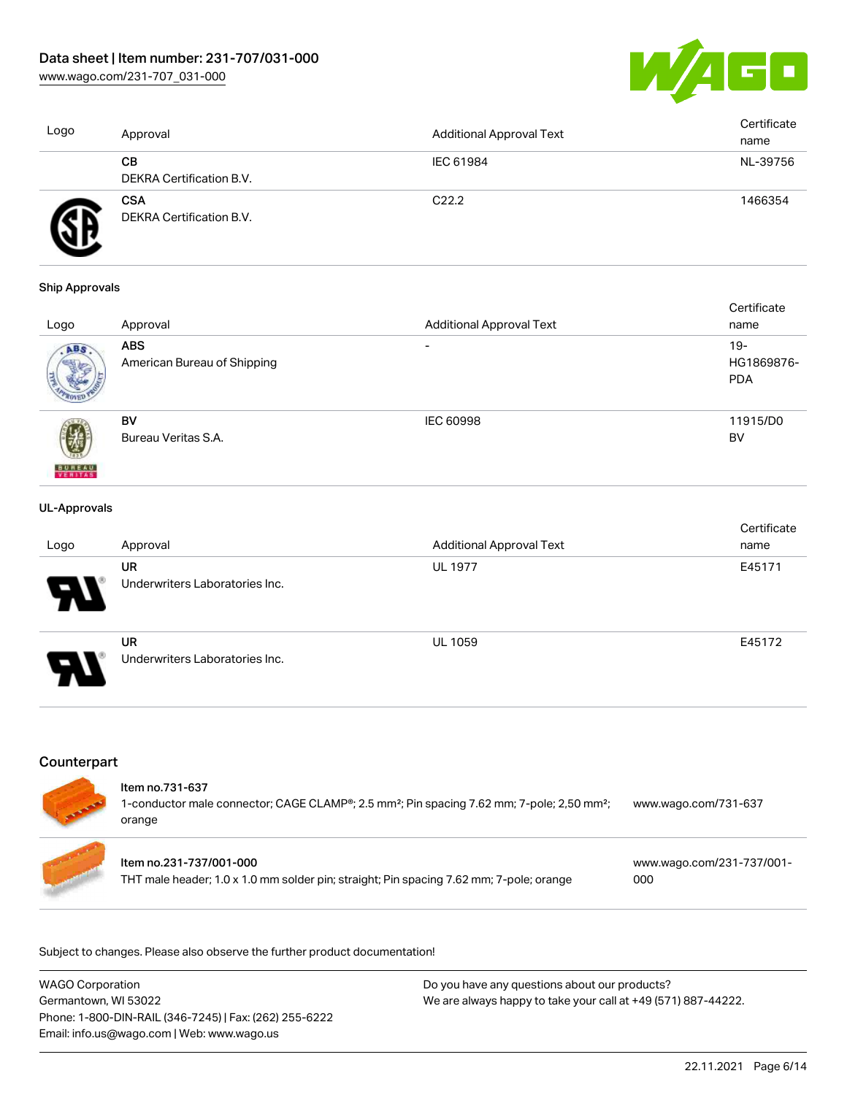[www.wago.com/231-707\\_031-000](http://www.wago.com/231-707_031-000)



| Logo | Approval                               | Additional Approval Text | Certificate<br>name |
|------|----------------------------------------|--------------------------|---------------------|
|      | CВ<br>DEKRA Certification B.V.         | IEC 61984                | NL-39756            |
|      | <b>CSA</b><br>DEKRA Certification B.V. | C <sub>22.2</sub>        | 1466354             |

#### Ship Approvals

|                          |                             |                                 | Certificate |
|--------------------------|-----------------------------|---------------------------------|-------------|
| Logo                     | Approval                    | <b>Additional Approval Text</b> | name        |
| ABS.                     | <b>ABS</b>                  | $\overline{\phantom{0}}$        | $19-$       |
|                          | American Bureau of Shipping |                                 | HG1869876-  |
|                          |                             |                                 | <b>PDA</b>  |
|                          |                             |                                 |             |
|                          | BV                          | <b>IEC 60998</b>                | 11915/D0    |
|                          | Bureau Veritas S.A.         |                                 | BV          |
|                          |                             |                                 |             |
| <b>BUREAU</b><br>VERITAS |                             |                                 |             |

#### UL-Approvals

| Logo                  | Approval                                    | <b>Additional Approval Text</b> | Certificate<br>name |
|-----------------------|---------------------------------------------|---------------------------------|---------------------|
| Ъ.                    | <b>UR</b><br>Underwriters Laboratories Inc. | <b>UL 1977</b>                  | E45171              |
| $\boldsymbol{\theta}$ | <b>UR</b><br>Underwriters Laboratories Inc. | <b>UL 1059</b>                  | E45172              |

# **Counterpart**

| Item no.731-637<br>1-conductor male connector; CAGE CLAMP®; 2.5 mm <sup>2</sup> ; Pin spacing 7.62 mm; 7-pole; 2,50 mm <sup>2</sup> ;<br>orange | www.wago.com/731-637             |
|-------------------------------------------------------------------------------------------------------------------------------------------------|----------------------------------|
| Item no.231-737/001-000<br>THT male header; 1.0 x 1.0 mm solder pin; straight; Pin spacing 7.62 mm; 7-pole; orange                              | www.wago.com/231-737/001-<br>000 |

Subject to changes. Please also observe the further product documentation!

| <b>WAGO Corporation</b>                                | Do you have any questions about our products?                 |
|--------------------------------------------------------|---------------------------------------------------------------|
| Germantown, WI 53022                                   | We are always happy to take your call at +49 (571) 887-44222. |
| Phone: 1-800-DIN-RAIL (346-7245)   Fax: (262) 255-6222 |                                                               |
| Email: info.us@wago.com   Web: www.wago.us             |                                                               |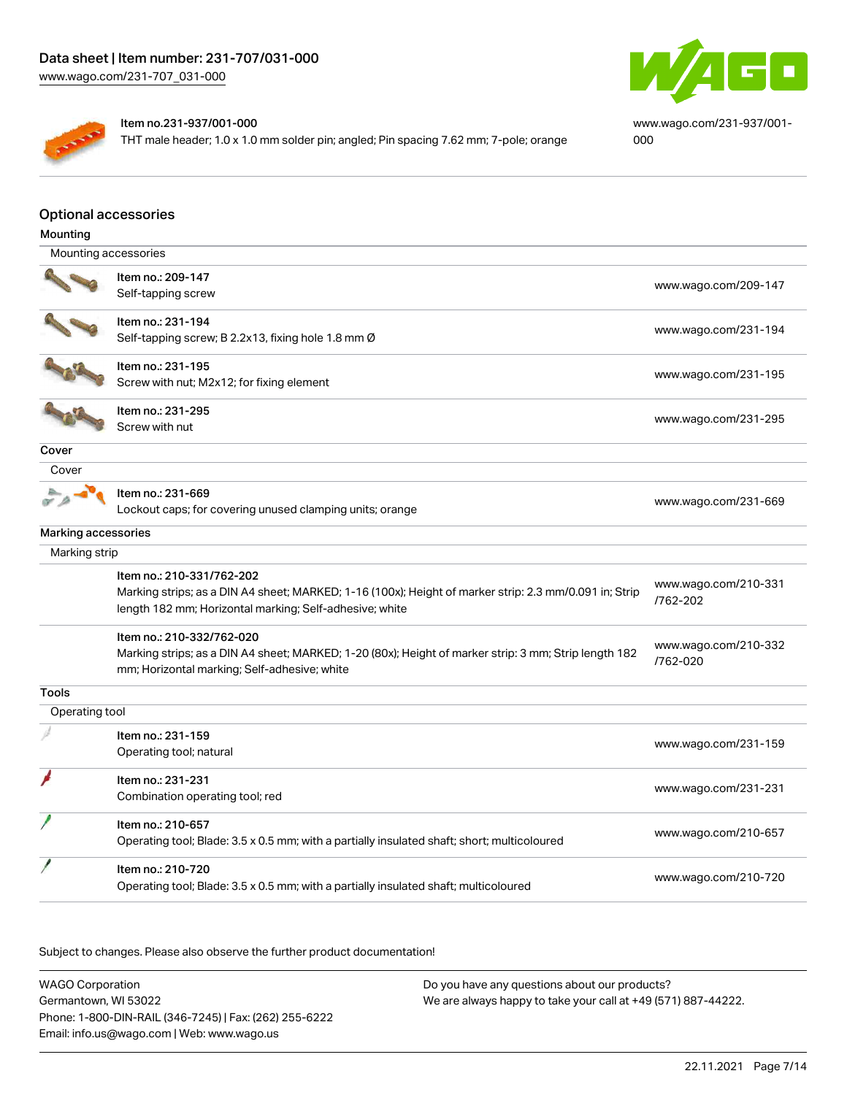

[www.wago.com/231-937/001-](https://www.wago.com/231-937/001-000) [000](https://www.wago.com/231-937/001-000)

#### Item no.231-937/001-000

THT male header; 1.0 x 1.0 mm solder pin; angled; Pin spacing 7.62 mm; 7-pole; orange

### Optional accessories

| Mounting                   |                                                                                                        |                      |
|----------------------------|--------------------------------------------------------------------------------------------------------|----------------------|
| Mounting accessories       |                                                                                                        |                      |
|                            | Item no.: 209-147                                                                                      |                      |
|                            | Self-tapping screw                                                                                     | www.wago.com/209-147 |
|                            | Item no.: 231-194                                                                                      |                      |
|                            | Self-tapping screw; B 2.2x13, fixing hole 1.8 mm Ø                                                     | www.wago.com/231-194 |
|                            | Item no.: 231-195                                                                                      |                      |
|                            | Screw with nut; M2x12; for fixing element                                                              | www.wago.com/231-195 |
|                            | Item no.: 231-295                                                                                      |                      |
|                            | Screw with nut                                                                                         | www.wago.com/231-295 |
| Cover                      |                                                                                                        |                      |
| Cover                      |                                                                                                        |                      |
|                            | Item no.: 231-669                                                                                      | www.wago.com/231-669 |
|                            | Lockout caps; for covering unused clamping units; orange                                               |                      |
| <b>Marking accessories</b> |                                                                                                        |                      |
| Marking strip              |                                                                                                        |                      |
|                            | Item no.: 210-331/762-202                                                                              | www.wago.com/210-331 |
|                            | Marking strips; as a DIN A4 sheet; MARKED; 1-16 (100x); Height of marker strip: 2.3 mm/0.091 in; Strip | /762-202             |
|                            | length 182 mm; Horizontal marking; Self-adhesive; white                                                |                      |
|                            | Item no.: 210-332/762-020                                                                              | www.wago.com/210-332 |
|                            | Marking strips; as a DIN A4 sheet; MARKED; 1-20 (80x); Height of marker strip: 3 mm; Strip length 182  | /762-020             |
|                            | mm; Horizontal marking; Self-adhesive; white                                                           |                      |
| Tools                      |                                                                                                        |                      |
| Operating tool             |                                                                                                        |                      |
|                            | Item no.: 231-159                                                                                      | www.wago.com/231-159 |
|                            | Operating tool; natural                                                                                |                      |
|                            | Item no.: 231-231                                                                                      |                      |
|                            | Combination operating tool; red                                                                        | www.wago.com/231-231 |
|                            | Item no.: 210-657                                                                                      |                      |
|                            | Operating tool; Blade: 3.5 x 0.5 mm; with a partially insulated shaft; short; multicoloured            | www.wago.com/210-657 |
|                            | Item no.: 210-720                                                                                      |                      |
|                            | Operating tool; Blade: 3.5 x 0.5 mm; with a partially insulated shaft; multicoloured                   | www.wago.com/210-720 |
|                            |                                                                                                        |                      |

Subject to changes. Please also observe the further product documentation!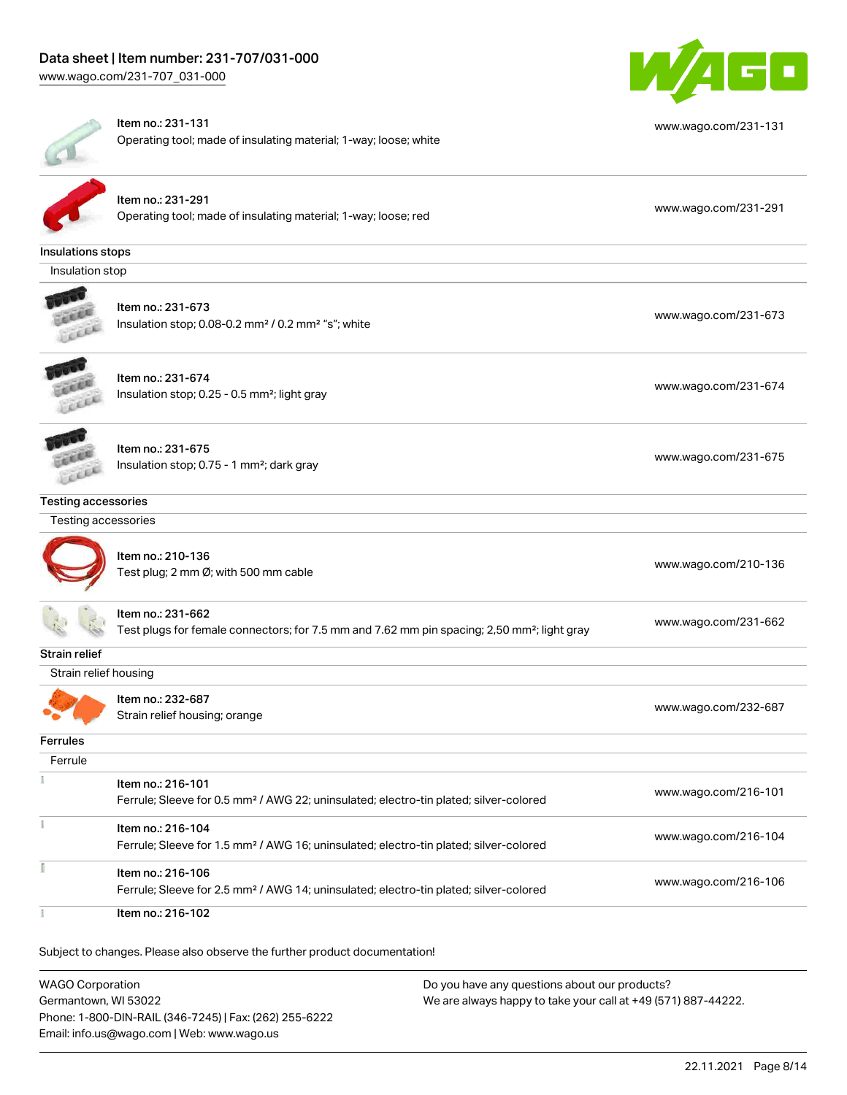

|                            | Item no.: 231-131<br>Operating tool; made of insulating material; 1-way; loose; white                                        | www.wago.com/231-131 |
|----------------------------|------------------------------------------------------------------------------------------------------------------------------|----------------------|
|                            | Item no.: 231-291<br>Operating tool; made of insulating material; 1-way; loose; red                                          | www.wago.com/231-291 |
| Insulations stops          |                                                                                                                              |                      |
| Insulation stop            |                                                                                                                              |                      |
|                            | Item no.: 231-673<br>Insulation stop; 0.08-0.2 mm <sup>2</sup> / 0.2 mm <sup>2</sup> "s"; white                              | www.wago.com/231-673 |
|                            | Item no.: 231-674<br>Insulation stop; 0.25 - 0.5 mm <sup>2</sup> ; light gray                                                | www.wago.com/231-674 |
|                            | Item no.: 231-675<br>Insulation stop; 0.75 - 1 mm <sup>2</sup> ; dark gray                                                   | www.wago.com/231-675 |
| <b>Testing accessories</b> |                                                                                                                              |                      |
| Testing accessories        |                                                                                                                              |                      |
|                            | Item no.: 210-136<br>Test plug; 2 mm Ø; with 500 mm cable                                                                    | www.wago.com/210-136 |
|                            | Item no.: 231-662<br>Test plugs for female connectors; for 7.5 mm and 7.62 mm pin spacing; 2,50 mm <sup>2</sup> ; light gray | www.wago.com/231-662 |
| Strain relief              |                                                                                                                              |                      |
| Strain relief housing      |                                                                                                                              |                      |
|                            | Item no.: 232-687<br>Strain relief housing; orange                                                                           | www.wago.com/232-687 |
| Ferrules                   |                                                                                                                              |                      |
| Ferrule                    |                                                                                                                              |                      |
|                            | Item no.: 216-101<br>Ferrule; Sleeve for 0.5 mm <sup>2</sup> / AWG 22; uninsulated; electro-tin plated; silver-colored       | www.wago.com/216-101 |
|                            | Item no.: 216-104<br>Ferrule; Sleeve for 1.5 mm <sup>2</sup> / AWG 16; uninsulated; electro-tin plated; silver-colored       | www.wago.com/216-104 |
|                            | Item no.: 216-106<br>Ferrule; Sleeve for 2.5 mm <sup>2</sup> / AWG 14; uninsulated; electro-tin plated; silver-colored       | www.wago.com/216-106 |
|                            |                                                                                                                              |                      |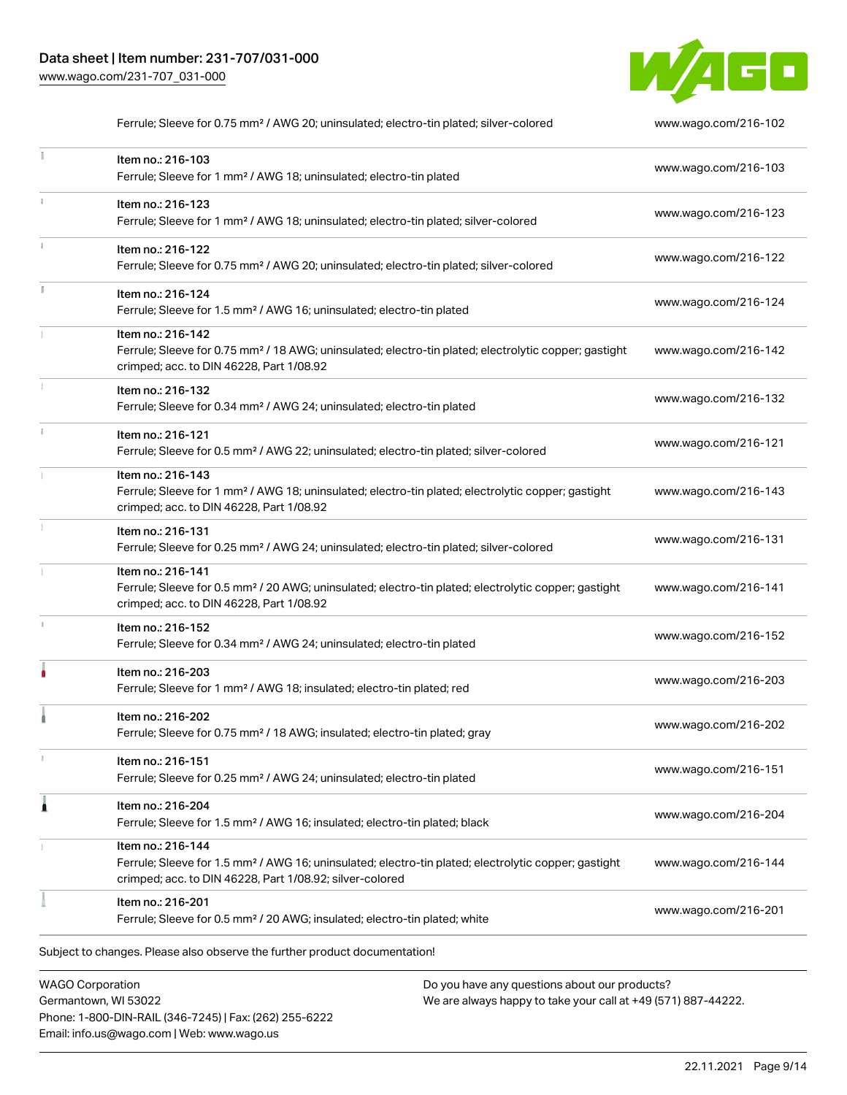Phone: 1-800-DIN-RAIL (346-7245) | Fax: (262) 255-6222

Email: info.us@wago.com | Web: www.wago.us



|   | Ferrule; Sleeve for 0.75 mm <sup>2</sup> / AWG 20; uninsulated; electro-tin plated; silver-colored                                                                                                |                                                                                                                | www.wago.com/216-102 |
|---|---------------------------------------------------------------------------------------------------------------------------------------------------------------------------------------------------|----------------------------------------------------------------------------------------------------------------|----------------------|
|   | Item no.: 216-103<br>Ferrule; Sleeve for 1 mm <sup>2</sup> / AWG 18; uninsulated; electro-tin plated                                                                                              |                                                                                                                | www.wago.com/216-103 |
|   | Item no.: 216-123<br>Ferrule; Sleeve for 1 mm <sup>2</sup> / AWG 18; uninsulated; electro-tin plated; silver-colored                                                                              |                                                                                                                | www.wago.com/216-123 |
|   | Item no.: 216-122<br>Ferrule; Sleeve for 0.75 mm <sup>2</sup> / AWG 20; uninsulated; electro-tin plated; silver-colored                                                                           |                                                                                                                | www.wago.com/216-122 |
|   | Item no.: 216-124<br>Ferrule; Sleeve for 1.5 mm <sup>2</sup> / AWG 16; uninsulated; electro-tin plated                                                                                            |                                                                                                                | www.wago.com/216-124 |
|   | Item no.: 216-142<br>Ferrule; Sleeve for 0.75 mm <sup>2</sup> / 18 AWG; uninsulated; electro-tin plated; electrolytic copper; gastight<br>crimped; acc. to DIN 46228, Part 1/08.92                |                                                                                                                | www.wago.com/216-142 |
|   | Item no.: 216-132<br>Ferrule; Sleeve for 0.34 mm <sup>2</sup> / AWG 24; uninsulated; electro-tin plated                                                                                           |                                                                                                                | www.wago.com/216-132 |
|   | Item no.: 216-121<br>Ferrule; Sleeve for 0.5 mm <sup>2</sup> / AWG 22; uninsulated; electro-tin plated; silver-colored                                                                            |                                                                                                                | www.wago.com/216-121 |
|   | Item no.: 216-143<br>Ferrule; Sleeve for 1 mm <sup>2</sup> / AWG 18; uninsulated; electro-tin plated; electrolytic copper; gastight<br>crimped; acc. to DIN 46228, Part 1/08.92                   |                                                                                                                | www.wago.com/216-143 |
|   | Item no.: 216-131<br>Ferrule; Sleeve for 0.25 mm <sup>2</sup> / AWG 24; uninsulated; electro-tin plated; silver-colored                                                                           |                                                                                                                | www.wago.com/216-131 |
|   | Item no.: 216-141<br>Ferrule; Sleeve for 0.5 mm <sup>2</sup> / 20 AWG; uninsulated; electro-tin plated; electrolytic copper; gastight<br>crimped; acc. to DIN 46228, Part 1/08.92                 |                                                                                                                | www.wago.com/216-141 |
|   | Item no.: 216-152<br>Ferrule; Sleeve for 0.34 mm <sup>2</sup> / AWG 24; uninsulated; electro-tin plated                                                                                           |                                                                                                                | www.wago.com/216-152 |
|   | Item no.: 216-203<br>Ferrule; Sleeve for 1 mm <sup>2</sup> / AWG 18; insulated; electro-tin plated; red                                                                                           |                                                                                                                | www.wago.com/216-203 |
|   | Item no.: 216-202<br>Ferrule; Sleeve for 0.75 mm <sup>2</sup> / 18 AWG; insulated; electro-tin plated; gray                                                                                       |                                                                                                                | www.wago.com/216-202 |
|   | Item no.: 216-151<br>Ferrule; Sleeve for 0.25 mm <sup>2</sup> / AWG 24; uninsulated; electro-tin plated                                                                                           |                                                                                                                | www.wago.com/216-151 |
| 1 | Item no.: 216-204<br>Ferrule; Sleeve for 1.5 mm <sup>2</sup> / AWG 16; insulated; electro-tin plated; black                                                                                       |                                                                                                                | www.wago.com/216-204 |
|   | Item no.: 216-144<br>Ferrule; Sleeve for 1.5 mm <sup>2</sup> / AWG 16; uninsulated; electro-tin plated; electrolytic copper; gastight<br>crimped; acc. to DIN 46228, Part 1/08.92; silver-colored |                                                                                                                | www.wago.com/216-144 |
|   | Item no.: 216-201<br>Ferrule; Sleeve for 0.5 mm <sup>2</sup> / 20 AWG; insulated; electro-tin plated; white                                                                                       |                                                                                                                | www.wago.com/216-201 |
|   | Subject to changes. Please also observe the further product documentation!                                                                                                                        |                                                                                                                |                      |
|   | <b>WAGO Corporation</b><br>Germantown, WI 53022                                                                                                                                                   | Do you have any questions about our products?<br>We are always happy to take your call at +49 (571) 887-44222. |                      |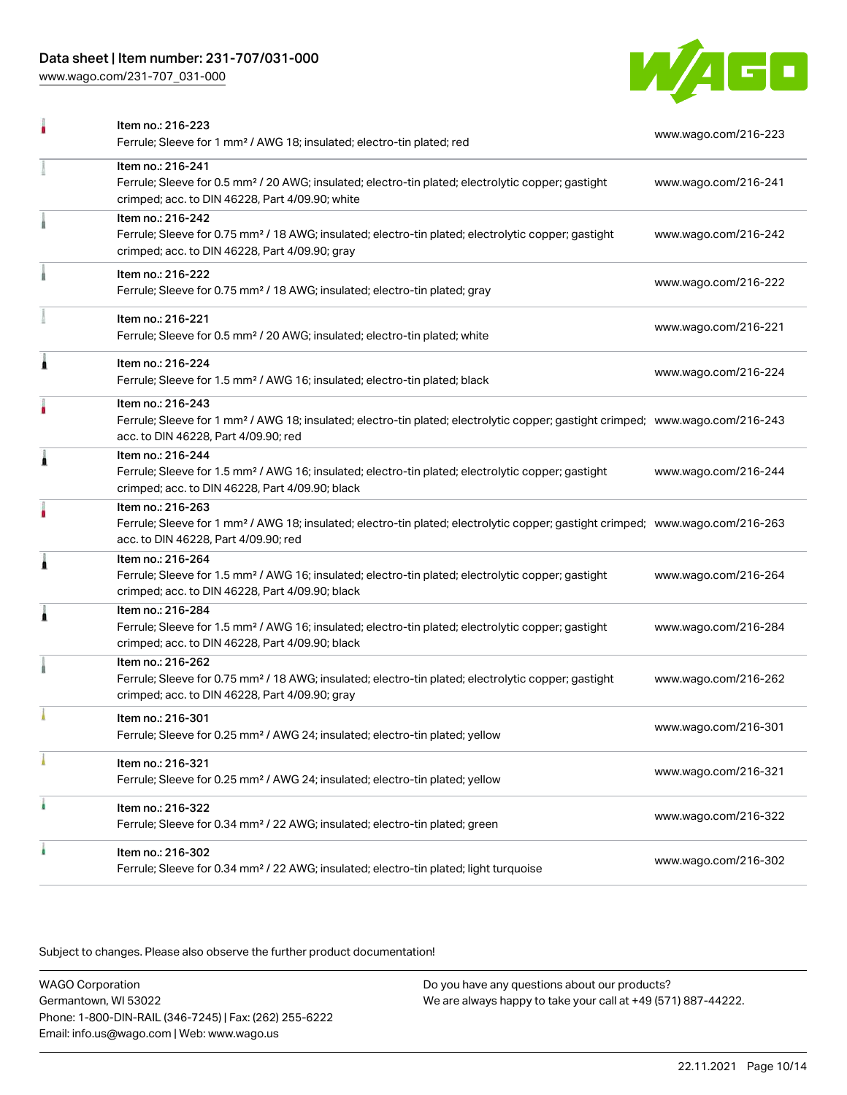# Data sheet | Item number: 231-707/031-000

[www.wago.com/231-707\\_031-000](http://www.wago.com/231-707_031-000)



|   | Item no.: 216-223<br>Ferrule; Sleeve for 1 mm <sup>2</sup> / AWG 18; insulated; electro-tin plated; red                                                                                                 | www.wago.com/216-223 |
|---|---------------------------------------------------------------------------------------------------------------------------------------------------------------------------------------------------------|----------------------|
|   | Item no.: 216-241<br>Ferrule; Sleeve for 0.5 mm <sup>2</sup> / 20 AWG; insulated; electro-tin plated; electrolytic copper; gastight<br>crimped; acc. to DIN 46228, Part 4/09.90; white                  | www.wago.com/216-241 |
|   | Item no.: 216-242<br>Ferrule; Sleeve for 0.75 mm <sup>2</sup> / 18 AWG; insulated; electro-tin plated; electrolytic copper; gastight<br>crimped; acc. to DIN 46228, Part 4/09.90; gray                  | www.wago.com/216-242 |
|   | Item no.: 216-222<br>Ferrule; Sleeve for 0.75 mm <sup>2</sup> / 18 AWG; insulated; electro-tin plated; gray                                                                                             | www.wago.com/216-222 |
|   | Item no.: 216-221<br>Ferrule; Sleeve for 0.5 mm <sup>2</sup> / 20 AWG; insulated; electro-tin plated; white                                                                                             | www.wago.com/216-221 |
| 1 | Item no.: 216-224<br>Ferrule; Sleeve for 1.5 mm <sup>2</sup> / AWG 16; insulated; electro-tin plated; black                                                                                             | www.wago.com/216-224 |
|   | Item no.: 216-243<br>Ferrule; Sleeve for 1 mm <sup>2</sup> / AWG 18; insulated; electro-tin plated; electrolytic copper; gastight crimped; www.wago.com/216-243<br>acc. to DIN 46228, Part 4/09.90; red |                      |
| 1 | Item no.: 216-244<br>Ferrule; Sleeve for 1.5 mm <sup>2</sup> / AWG 16; insulated; electro-tin plated; electrolytic copper; gastight<br>crimped; acc. to DIN 46228, Part 4/09.90; black                  | www.wago.com/216-244 |
|   | Item no.: 216-263<br>Ferrule; Sleeve for 1 mm <sup>2</sup> / AWG 18; insulated; electro-tin plated; electrolytic copper; gastight crimped; www.wago.com/216-263<br>acc. to DIN 46228, Part 4/09.90; red |                      |
| 1 | Item no.: 216-264<br>Ferrule; Sleeve for 1.5 mm <sup>2</sup> / AWG 16; insulated; electro-tin plated; electrolytic copper; gastight<br>crimped; acc. to DIN 46228, Part 4/09.90; black                  | www.wago.com/216-264 |
| Â | Item no.: 216-284<br>Ferrule; Sleeve for 1.5 mm <sup>2</sup> / AWG 16; insulated; electro-tin plated; electrolytic copper; gastight<br>crimped; acc. to DIN 46228, Part 4/09.90; black                  | www.wago.com/216-284 |
|   | Item no.: 216-262<br>Ferrule; Sleeve for 0.75 mm <sup>2</sup> / 18 AWG; insulated; electro-tin plated; electrolytic copper; gastight<br>crimped; acc. to DIN 46228, Part 4/09.90; gray                  | www.wago.com/216-262 |
|   | Item no.: 216-301<br>Ferrule; Sleeve for 0.25 mm <sup>2</sup> / AWG 24; insulated; electro-tin plated; yellow                                                                                           | www.wago.com/216-301 |
|   | Item no.: 216-321<br>Ferrule; Sleeve for 0.25 mm <sup>2</sup> / AWG 24; insulated; electro-tin plated; yellow                                                                                           | www.wago.com/216-321 |
|   | Item no.: 216-322<br>Ferrule; Sleeve for 0.34 mm <sup>2</sup> / 22 AWG; insulated; electro-tin plated; green                                                                                            | www.wago.com/216-322 |
|   | Item no.: 216-302<br>Ferrule; Sleeve for 0.34 mm <sup>2</sup> / 22 AWG; insulated; electro-tin plated; light turquoise                                                                                  | www.wago.com/216-302 |

Subject to changes. Please also observe the further product documentation!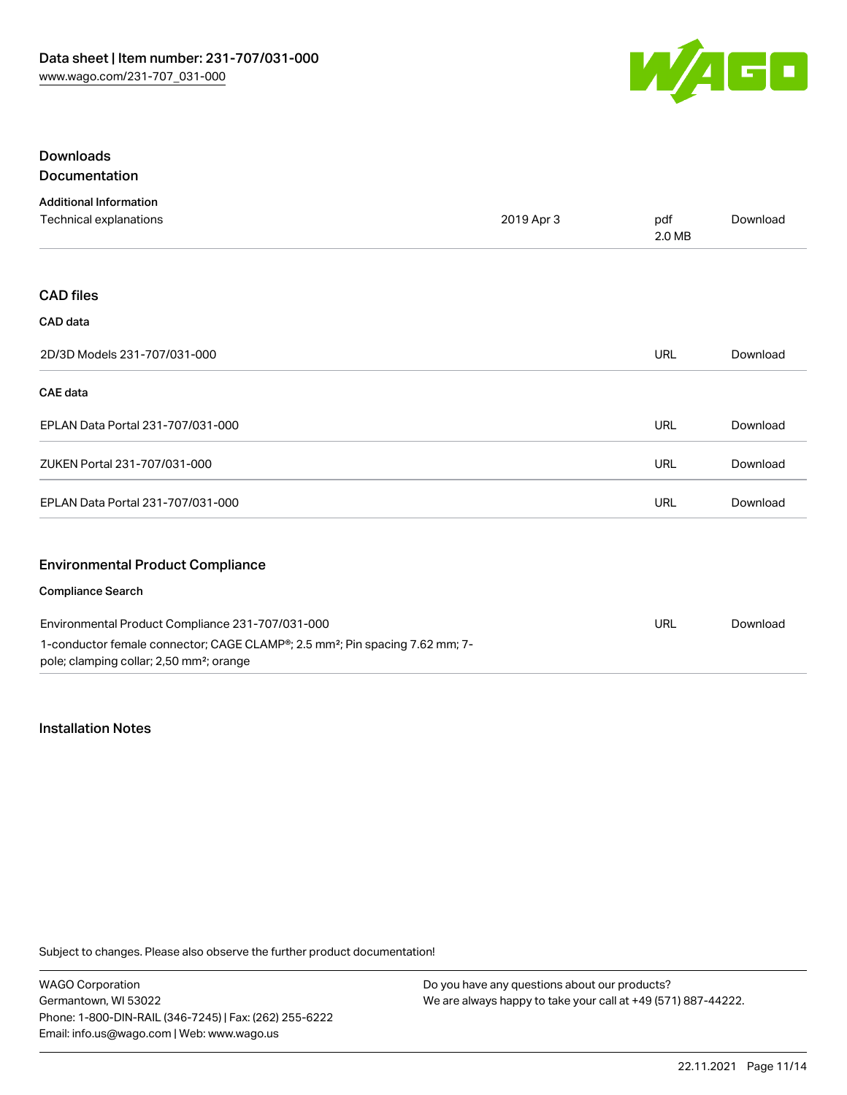

# Downloads Documentation

| <b>Additional Information</b>                                                                                                                    |            |               |          |
|--------------------------------------------------------------------------------------------------------------------------------------------------|------------|---------------|----------|
| Technical explanations                                                                                                                           | 2019 Apr 3 | pdf<br>2.0 MB | Download |
|                                                                                                                                                  |            |               |          |
| <b>CAD files</b>                                                                                                                                 |            |               |          |
| CAD data                                                                                                                                         |            |               |          |
| 2D/3D Models 231-707/031-000                                                                                                                     |            | <b>URL</b>    | Download |
| <b>CAE</b> data                                                                                                                                  |            |               |          |
| EPLAN Data Portal 231-707/031-000                                                                                                                |            | URL           | Download |
| ZUKEN Portal 231-707/031-000                                                                                                                     |            | <b>URL</b>    | Download |
| EPLAN Data Portal 231-707/031-000                                                                                                                |            | URL           | Download |
| <b>Environmental Product Compliance</b>                                                                                                          |            |               |          |
| <b>Compliance Search</b>                                                                                                                         |            |               |          |
| Environmental Product Compliance 231-707/031-000                                                                                                 |            | <b>URL</b>    | Download |
| 1-conductor female connector; CAGE CLAMP®; 2.5 mm <sup>2</sup> ; Pin spacing 7.62 mm; 7-<br>pole; clamping collar; 2,50 mm <sup>2</sup> ; orange |            |               |          |

#### Installation Notes

Subject to changes. Please also observe the further product documentation!

WAGO Corporation Germantown, WI 53022 Phone: 1-800-DIN-RAIL (346-7245) | Fax: (262) 255-6222 Email: info.us@wago.com | Web: www.wago.us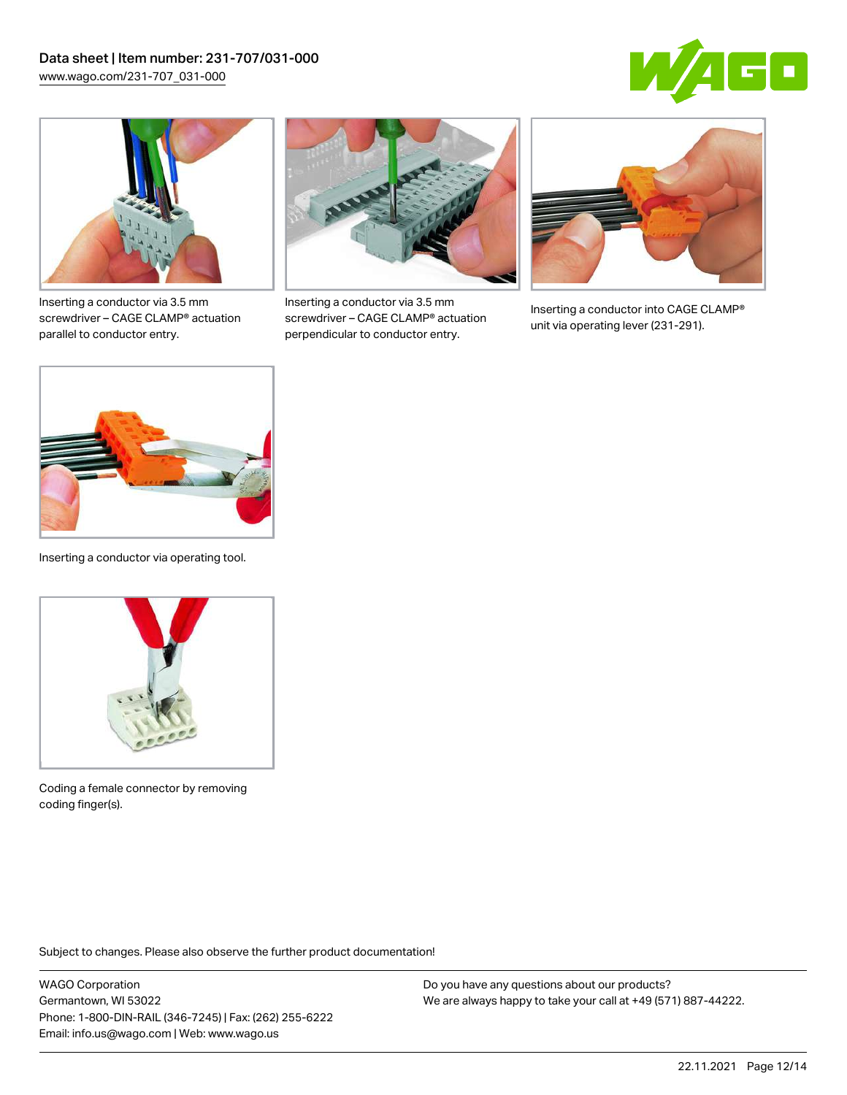



Inserting a conductor via 3.5 mm screwdriver – CAGE CLAMP® actuation parallel to conductor entry.



Inserting a conductor via 3.5 mm screwdriver – CAGE CLAMP® actuation perpendicular to conductor entry.



Inserting a conductor into CAGE CLAMP® unit via operating lever (231-291).



Inserting a conductor via operating tool.



Coding a female connector by removing coding finger(s).

Subject to changes. Please also observe the further product documentation!

WAGO Corporation Germantown, WI 53022 Phone: 1-800-DIN-RAIL (346-7245) | Fax: (262) 255-6222 Email: info.us@wago.com | Web: www.wago.us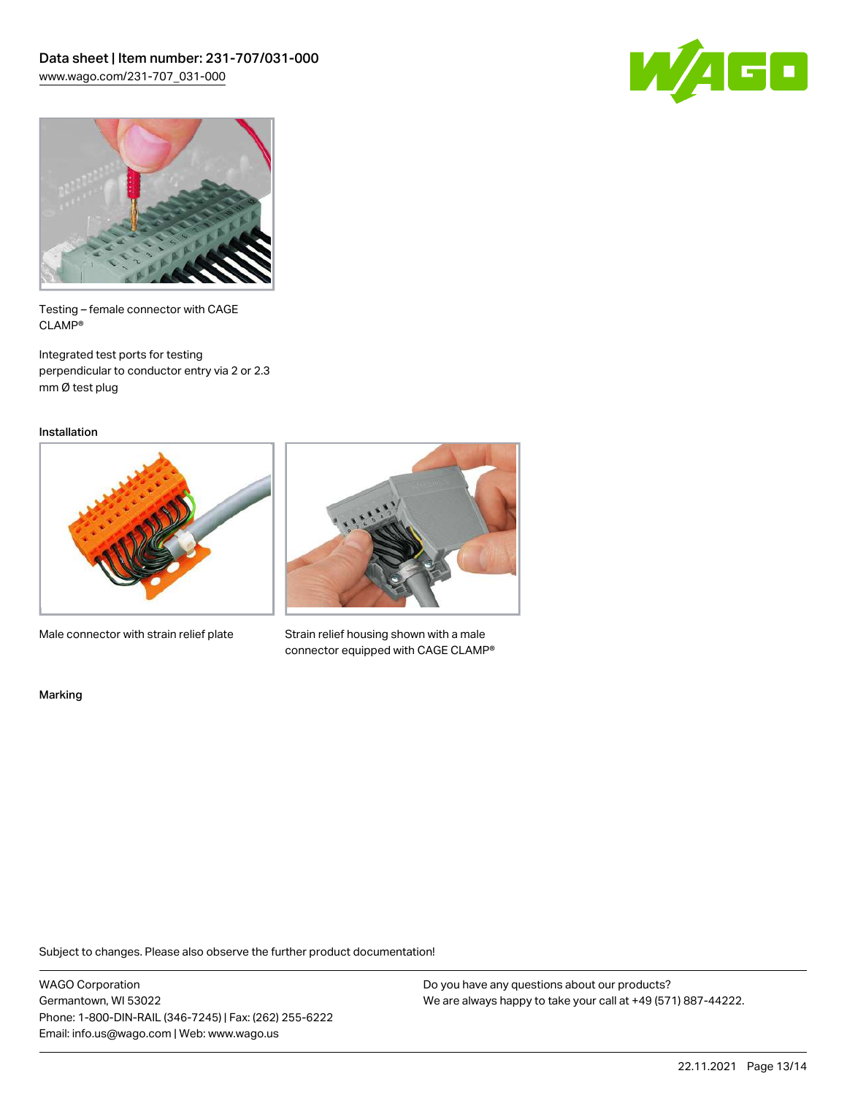



Testing – female connector with CAGE CLAMP®

Integrated test ports for testing perpendicular to conductor entry via 2 or 2.3 mm Ø test plug

Installation



Male connector with strain relief plate



Strain relief housing shown with a male connector equipped with CAGE CLAMP®

Marking

Subject to changes. Please also observe the further product documentation!

WAGO Corporation Germantown, WI 53022 Phone: 1-800-DIN-RAIL (346-7245) | Fax: (262) 255-6222 Email: info.us@wago.com | Web: www.wago.us